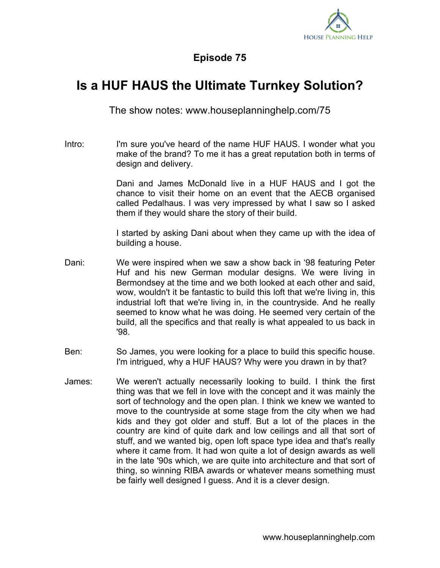

## **Episode 75**

## **Is a HUF HAUS the Ultimate Turnkey Solution?**

The show notes: www.houseplanninghelp.com/75

Intro: I'm sure you've heard of the name HUF HAUS. I wonder what you make of the brand? To me it has a great reputation both in terms of design and delivery.

> Dani and James McDonald live in a HUF HAUS and I got the chance to visit their home on an event that the AECB organised called Pedalhaus. I was very impressed by what I saw so I asked them if they would share the story of their build.

> I started by asking Dani about when they came up with the idea of building a house.

- Dani: We were inspired when we saw a show back in '98 featuring Peter Huf and his new German modular designs. We were living in Bermondsey at the time and we both looked at each other and said, wow, wouldn't it be fantastic to build this loft that we're living in, this industrial loft that we're living in, in the countryside. And he really seemed to know what he was doing. He seemed very certain of the build, all the specifics and that really is what appealed to us back in '98.
- Ben: So James, you were looking for a place to build this specific house. I'm intrigued, why a HUF HAUS? Why were you drawn in by that?
- James: We weren't actually necessarily looking to build. I think the first thing was that we fell in love with the concept and it was mainly the sort of technology and the open plan. I think we knew we wanted to move to the countryside at some stage from the city when we had kids and they got older and stuff. But a lot of the places in the country are kind of quite dark and low ceilings and all that sort of stuff, and we wanted big, open loft space type idea and that's really where it came from. It had won quite a lot of design awards as well in the late '90s which, we are quite into architecture and that sort of thing, so winning RIBA awards or whatever means something must be fairly well designed I guess. And it is a clever design.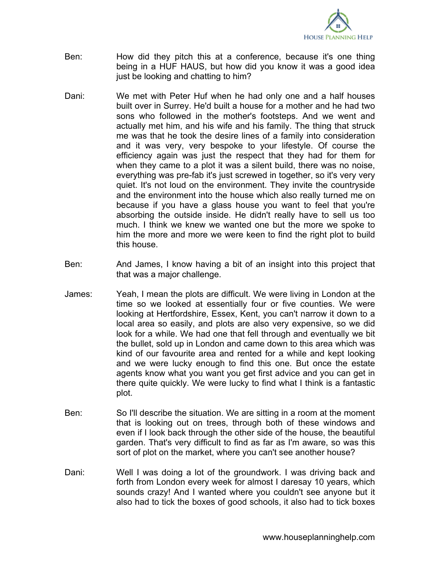

- Ben: How did they pitch this at a conference, because it's one thing being in a HUF HAUS, but how did you know it was a good idea just be looking and chatting to him?
- Dani: We met with Peter Huf when he had only one and a half houses built over in Surrey. He'd built a house for a mother and he had two sons who followed in the mother's footsteps. And we went and actually met him, and his wife and his family. The thing that struck me was that he took the desire lines of a family into consideration and it was very, very bespoke to your lifestyle. Of course the efficiency again was just the respect that they had for them for when they came to a plot it was a silent build, there was no noise, everything was pre-fab it's just screwed in together, so it's very very quiet. It's not loud on the environment. They invite the countryside and the environment into the house which also really turned me on because if you have a glass house you want to feel that you're absorbing the outside inside. He didn't really have to sell us too much. I think we knew we wanted one but the more we spoke to him the more and more we were keen to find the right plot to build this house.
- Ben: And James, I know having a bit of an insight into this project that that was a major challenge.
- James: Yeah, I mean the plots are difficult. We were living in London at the time so we looked at essentially four or five counties. We were looking at Hertfordshire, Essex, Kent, you can't narrow it down to a local area so easily, and plots are also very expensive, so we did look for a while. We had one that fell through and eventually we bit the bullet, sold up in London and came down to this area which was kind of our favourite area and rented for a while and kept looking and we were lucky enough to find this one. But once the estate agents know what you want you get first advice and you can get in there quite quickly. We were lucky to find what I think is a fantastic plot.
- Ben: So I'll describe the situation. We are sitting in a room at the moment that is looking out on trees, through both of these windows and even if I look back through the other side of the house, the beautiful garden. That's very difficult to find as far as I'm aware, so was this sort of plot on the market, where you can't see another house?
- Dani: Well I was doing a lot of the groundwork. I was driving back and forth from London every week for almost I daresay 10 years, which sounds crazy! And I wanted where you couldn't see anyone but it also had to tick the boxes of good schools, it also had to tick boxes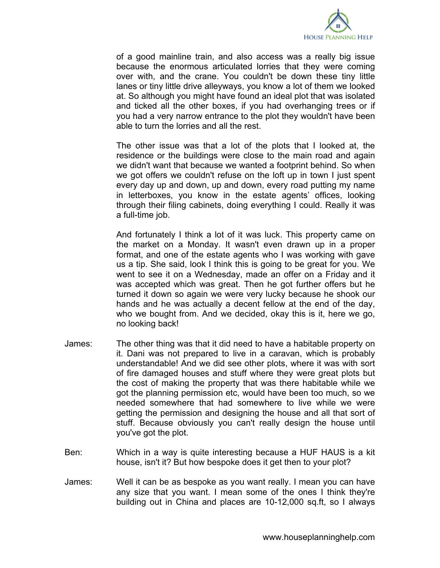

of a good mainline train, and also access was a really big issue because the enormous articulated lorries that they were coming over with, and the crane. You couldn't be down these tiny little lanes or tiny little drive alleyways, you know a lot of them we looked at. So although you might have found an ideal plot that was isolated and ticked all the other boxes, if you had overhanging trees or if you had a very narrow entrance to the plot they wouldn't have been able to turn the lorries and all the rest.

The other issue was that a lot of the plots that I looked at, the residence or the buildings were close to the main road and again we didn't want that because we wanted a footprint behind. So when we got offers we couldn't refuse on the loft up in town I just spent every day up and down, up and down, every road putting my name in letterboxes, you know in the estate agents' offices, looking through their filing cabinets, doing everything I could. Really it was a full-time job.

And fortunately I think a lot of it was luck. This property came on the market on a Monday. It wasn't even drawn up in a proper format, and one of the estate agents who I was working with gave us a tip. She said, look I think this is going to be great for you. We went to see it on a Wednesday, made an offer on a Friday and it was accepted which was great. Then he got further offers but he turned it down so again we were very lucky because he shook our hands and he was actually a decent fellow at the end of the day, who we bought from. And we decided, okay this is it, here we go, no looking back!

- James: The other thing was that it did need to have a habitable property on it. Dani was not prepared to live in a caravan, which is probably understandable! And we did see other plots, where it was with sort of fire damaged houses and stuff where they were great plots but the cost of making the property that was there habitable while we got the planning permission etc, would have been too much, so we needed somewhere that had somewhere to live while we were getting the permission and designing the house and all that sort of stuff. Because obviously you can't really design the house until you've got the plot.
- Ben: Which in a way is quite interesting because a HUF HAUS is a kit house, isn't it? But how bespoke does it get then to your plot?
- James: Well it can be as bespoke as you want really. I mean you can have any size that you want. I mean some of the ones I think they're building out in China and places are 10-12,000 sq.ft, so I always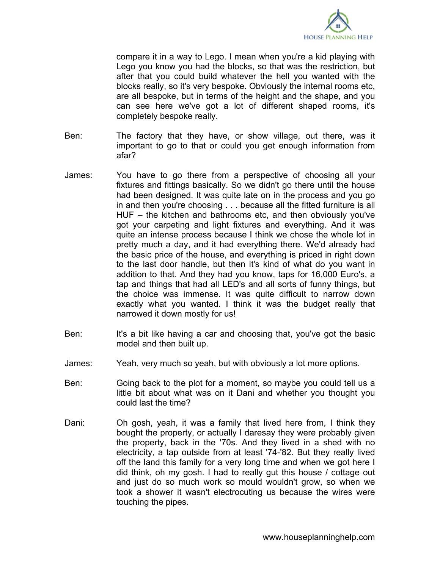

compare it in a way to Lego. I mean when you're a kid playing with Lego you know you had the blocks, so that was the restriction, but after that you could build whatever the hell you wanted with the blocks really, so it's very bespoke. Obviously the internal rooms etc, are all bespoke, but in terms of the height and the shape, and you can see here we've got a lot of different shaped rooms, it's completely bespoke really.

- Ben: The factory that they have, or show village, out there, was it important to go to that or could you get enough information from afar?
- James: You have to go there from a perspective of choosing all your fixtures and fittings basically. So we didn't go there until the house had been designed. It was quite late on in the process and you go in and then you're choosing . . . because all the fitted furniture is all HUF – the kitchen and bathrooms etc, and then obviously you've got your carpeting and light fixtures and everything. And it was quite an intense process because I think we chose the whole lot in pretty much a day, and it had everything there. We'd already had the basic price of the house, and everything is priced in right down to the last door handle, but then it's kind of what do you want in addition to that. And they had you know, taps for 16,000 Euro's, a tap and things that had all LED's and all sorts of funny things, but the choice was immense. It was quite difficult to narrow down exactly what you wanted. I think it was the budget really that narrowed it down mostly for us!
- Ben: It's a bit like having a car and choosing that, you've got the basic model and then built up.
- James: Yeah, very much so yeah, but with obviously a lot more options.
- Ben: Going back to the plot for a moment, so maybe you could tell us a little bit about what was on it Dani and whether you thought you could last the time?
- Dani: Oh gosh, yeah, it was a family that lived here from, I think they bought the property, or actually I daresay they were probably given the property, back in the '70s. And they lived in a shed with no electricity, a tap outside from at least '74-'82. But they really lived off the land this family for a very long time and when we got here I did think, oh my gosh. I had to really gut this house / cottage out and just do so much work so mould wouldn't grow, so when we took a shower it wasn't electrocuting us because the wires were touching the pipes.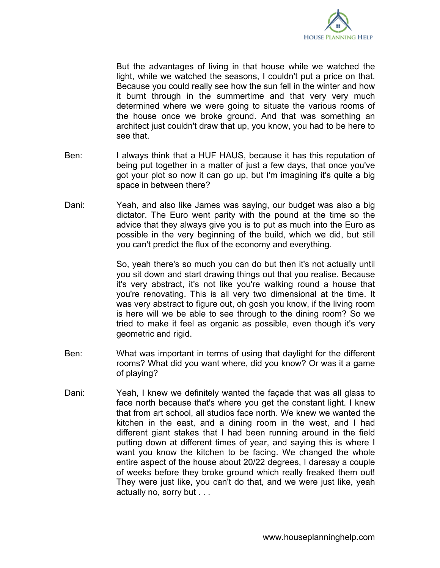

But the advantages of living in that house while we watched the light, while we watched the seasons, I couldn't put a price on that. Because you could really see how the sun fell in the winter and how it burnt through in the summertime and that very very much determined where we were going to situate the various rooms of the house once we broke ground. And that was something an architect just couldn't draw that up, you know, you had to be here to see that.

- Ben: I always think that a HUF HAUS, because it has this reputation of being put together in a matter of just a few days, that once you've got your plot so now it can go up, but I'm imagining it's quite a big space in between there?
- Dani: Yeah, and also like James was saying, our budget was also a big dictator. The Euro went parity with the pound at the time so the advice that they always give you is to put as much into the Euro as possible in the very beginning of the build, which we did, but still you can't predict the flux of the economy and everything.

So, yeah there's so much you can do but then it's not actually until you sit down and start drawing things out that you realise. Because it's very abstract, it's not like you're walking round a house that you're renovating. This is all very two dimensional at the time. It was very abstract to figure out, oh gosh you know, if the living room is here will we be able to see through to the dining room? So we tried to make it feel as organic as possible, even though it's very geometric and rigid.

- Ben: What was important in terms of using that daylight for the different rooms? What did you want where, did you know? Or was it a game of playing?
- Dani: Yeah, I knew we definitely wanted the façade that was all glass to face north because that's where you get the constant light. I knew that from art school, all studios face north. We knew we wanted the kitchen in the east, and a dining room in the west, and I had different giant stakes that I had been running around in the field putting down at different times of year, and saying this is where I want you know the kitchen to be facing. We changed the whole entire aspect of the house about 20/22 degrees, I daresay a couple of weeks before they broke ground which really freaked them out! They were just like, you can't do that, and we were just like, yeah actually no, sorry but . . .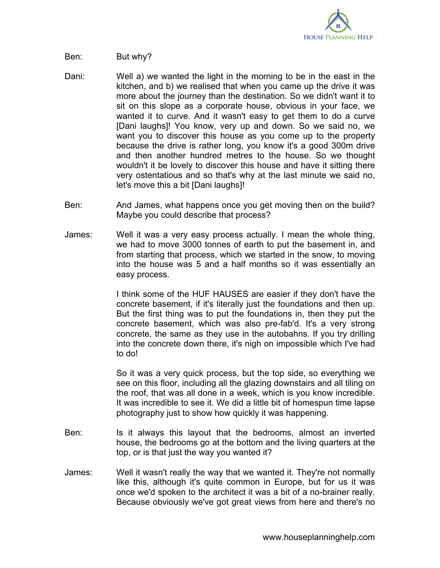

- Ben: But why?
- Dani: Well a) we wanted the light in the morning to be in the east in the kitchen, and b) we realised that when you came up the drive it was more about the journey than the destination. So we didn't want it to sit on this slope as a corporate house, obvious in your face, we wanted it to curve. And it wasn't easy to get them to do a curve [Dani laughs]! You know, very up and down. So we said no, we want you to discover this house as you come up to the property because the drive is rather long, you know it's a good 300m drive and then another hundred metres to the house. So we thought wouldn't it be lovely to discover this house and have it sitting there very ostentatious and so that's why at the last minute we said no, let's move this a bit [Dani laughs]!
- Ben: And James, what happens once you get moving then on the build? Maybe you could describe that process?
- James: Well it was a very easy process actually. I mean the whole thing, we had to move 3000 tonnes of earth to put the basement in, and from starting that process, which we started in the snow, to moving into the house was 5 and a half months so it was essentially an easy process.

I think some of the HUF HAUSES are easier if they don't have the concrete basement, if it's literally just the foundations and then up. But the first thing was to put the foundations in, then they put the concrete basement, which was also pre-fab'd. It's a very strong concrete, the same as they use in the autobahns. If you try drilling into the concrete down there, it's nigh on impossible which I've had to do!

So it was a very quick process, but the top side, so everything we see on this floor, including all the glazing downstairs and all tiling on the roof, that was all done in a week, which is you know incredible. It was incredible to see it. We did a little bit of homespun time lapse photography just to show how quickly it was happening.

- Ben: Is it always this layout that the bedrooms, almost an inverted house, the bedrooms go at the bottom and the living quarters at the top, or is that just the way you wanted it?
- James: Well it wasn't really the way that we wanted it. They're not normally like this, although it's quite common in Europe, but for us it was once we'd spoken to the architect it was a bit of a no-brainer really. Because obviously we've got great views from here and there's no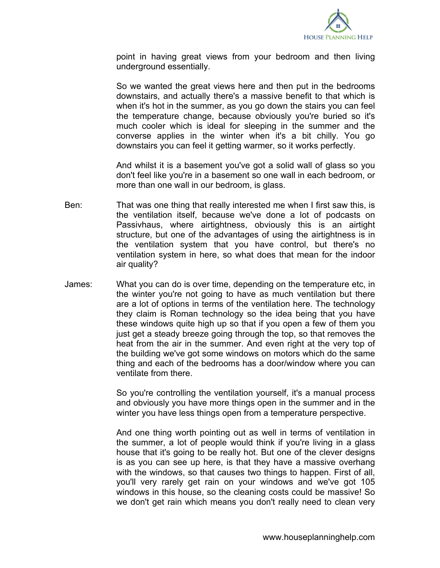

point in having great views from your bedroom and then living underground essentially.

So we wanted the great views here and then put in the bedrooms downstairs, and actually there's a massive benefit to that which is when it's hot in the summer, as you go down the stairs you can feel the temperature change, because obviously you're buried so it's much cooler which is ideal for sleeping in the summer and the converse applies in the winter when it's a bit chilly. You go downstairs you can feel it getting warmer, so it works perfectly.

And whilst it is a basement you've got a solid wall of glass so you don't feel like you're in a basement so one wall in each bedroom, or more than one wall in our bedroom, is glass.

- Ben: That was one thing that really interested me when I first saw this, is the ventilation itself, because we've done a lot of podcasts on Passivhaus, where airtightness, obviously this is an airtight structure, but one of the advantages of using the airtightness is in the ventilation system that you have control, but there's no ventilation system in here, so what does that mean for the indoor air quality?
- James: What you can do is over time, depending on the temperature etc, in the winter you're not going to have as much ventilation but there are a lot of options in terms of the ventilation here. The technology they claim is Roman technology so the idea being that you have these windows quite high up so that if you open a few of them you just get a steady breeze going through the top, so that removes the heat from the air in the summer. And even right at the very top of the building we've got some windows on motors which do the same thing and each of the bedrooms has a door/window where you can ventilate from there.

So you're controlling the ventilation yourself, it's a manual process and obviously you have more things open in the summer and in the winter you have less things open from a temperature perspective.

And one thing worth pointing out as well in terms of ventilation in the summer, a lot of people would think if you're living in a glass house that it's going to be really hot. But one of the clever designs is as you can see up here, is that they have a massive overhang with the windows, so that causes two things to happen. First of all, you'll very rarely get rain on your windows and we've got 105 windows in this house, so the cleaning costs could be massive! So we don't get rain which means you don't really need to clean very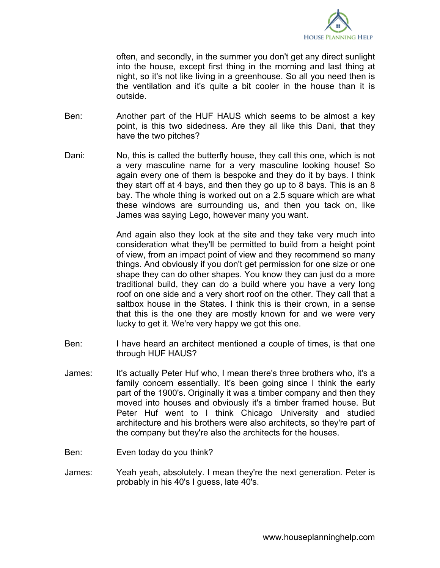

often, and secondly, in the summer you don't get any direct sunlight into the house, except first thing in the morning and last thing at night, so it's not like living in a greenhouse. So all you need then is the ventilation and it's quite a bit cooler in the house than it is outside.

- Ben: Another part of the HUF HAUS which seems to be almost a key point, is this two sidedness. Are they all like this Dani, that they have the two pitches?
- Dani: No, this is called the butterfly house, they call this one, which is not a very masculine name for a very masculine looking house! So again every one of them is bespoke and they do it by bays. I think they start off at 4 bays, and then they go up to 8 bays. This is an 8 bay. The whole thing is worked out on a 2.5 square which are what these windows are surrounding us, and then you tack on, like James was saying Lego, however many you want.

And again also they look at the site and they take very much into consideration what they'll be permitted to build from a height point of view, from an impact point of view and they recommend so many things. And obviously if you don't get permission for one size or one shape they can do other shapes. You know they can just do a more traditional build, they can do a build where you have a very long roof on one side and a very short roof on the other. They call that a saltbox house in the States. I think this is their crown, in a sense that this is the one they are mostly known for and we were very lucky to get it. We're very happy we got this one.

- Ben: I have heard an architect mentioned a couple of times, is that one through HUF HAUS?
- James: It's actually Peter Huf who, I mean there's three brothers who, it's a family concern essentially. It's been going since I think the early part of the 1900's. Originally it was a timber company and then they moved into houses and obviously it's a timber framed house. But Peter Huf went to I think Chicago University and studied architecture and his brothers were also architects, so they're part of the company but they're also the architects for the houses.
- Ben: Even today do you think?
- James: Yeah yeah, absolutely. I mean they're the next generation. Peter is probably in his 40's I guess, late 40's.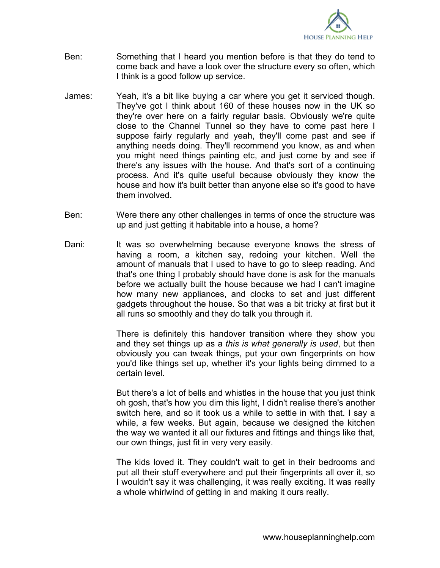

- Ben: Something that I heard you mention before is that they do tend to come back and have a look over the structure every so often, which I think is a good follow up service.
- James: Yeah, it's a bit like buying a car where you get it serviced though. They've got I think about 160 of these houses now in the UK so they're over here on a fairly regular basis. Obviously we're quite close to the Channel Tunnel so they have to come past here I suppose fairly regularly and yeah, they'll come past and see if anything needs doing. They'll recommend you know, as and when you might need things painting etc, and just come by and see if there's any issues with the house. And that's sort of a continuing process. And it's quite useful because obviously they know the house and how it's built better than anyone else so it's good to have them involved.
- Ben: Were there any other challenges in terms of once the structure was up and just getting it habitable into a house, a home?
- Dani: It was so overwhelming because everyone knows the stress of having a room, a kitchen say, redoing your kitchen. Well the amount of manuals that I used to have to go to sleep reading. And that's one thing I probably should have done is ask for the manuals before we actually built the house because we had I can't imagine how many new appliances, and clocks to set and just different gadgets throughout the house. So that was a bit tricky at first but it all runs so smoothly and they do talk you through it.

There is definitely this handover transition where they show you and they set things up as a *this is what generally is used*, but then obviously you can tweak things, put your own fingerprints on how you'd like things set up, whether it's your lights being dimmed to a certain level.

But there's a lot of bells and whistles in the house that you just think oh gosh, that's how you dim this light, I didn't realise there's another switch here, and so it took us a while to settle in with that. I say a while, a few weeks. But again, because we designed the kitchen the way we wanted it all our fixtures and fittings and things like that, our own things, just fit in very very easily.

The kids loved it. They couldn't wait to get in their bedrooms and put all their stuff everywhere and put their fingerprints all over it, so I wouldn't say it was challenging, it was really exciting. It was really a whole whirlwind of getting in and making it ours really.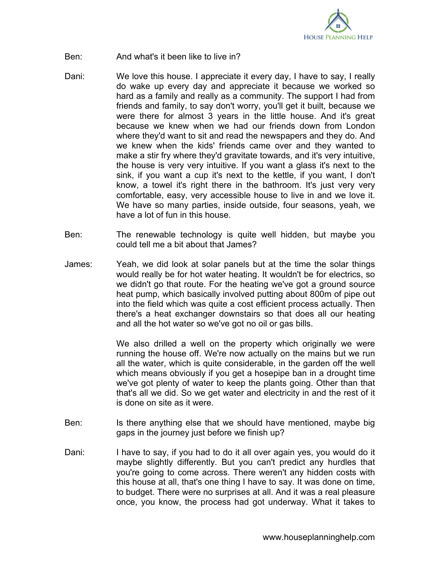

- Ben: And what's it been like to live in?
- Dani: We love this house. I appreciate it every day, I have to say, I really do wake up every day and appreciate it because we worked so hard as a family and really as a community. The support I had from friends and family, to say don't worry, you'll get it built, because we were there for almost 3 years in the little house. And it's great because we knew when we had our friends down from London where they'd want to sit and read the newspapers and they do. And we knew when the kids' friends came over and they wanted to make a stir fry where they'd gravitate towards, and it's very intuitive, the house is very very intuitive. If you want a glass it's next to the sink, if you want a cup it's next to the kettle, if you want, I don't know, a towel it's right there in the bathroom. It's just very very comfortable, easy, very accessible house to live in and we love it. We have so many parties, inside outside, four seasons, yeah, we have a lot of fun in this house.
- Ben: The renewable technology is quite well hidden, but maybe you could tell me a bit about that James?
- James: Yeah, we did look at solar panels but at the time the solar things would really be for hot water heating. It wouldn't be for electrics, so we didn't go that route. For the heating we've got a ground source heat pump, which basically involved putting about 800m of pipe out into the field which was quite a cost efficient process actually. Then there's a heat exchanger downstairs so that does all our heating and all the hot water so we've got no oil or gas bills.

We also drilled a well on the property which originally we were running the house off. We're now actually on the mains but we run all the water, which is quite considerable, in the garden off the well which means obviously if you get a hosepipe ban in a drought time we've got plenty of water to keep the plants going. Other than that that's all we did. So we get water and electricity in and the rest of it is done on site as it were.

- Ben: Is there anything else that we should have mentioned, maybe big gaps in the journey just before we finish up?
- Dani: I have to say, if you had to do it all over again yes, you would do it maybe slightly differently. But you can't predict any hurdles that you're going to come across. There weren't any hidden costs with this house at all, that's one thing I have to say. It was done on time, to budget. There were no surprises at all. And it was a real pleasure once, you know, the process had got underway. What it takes to